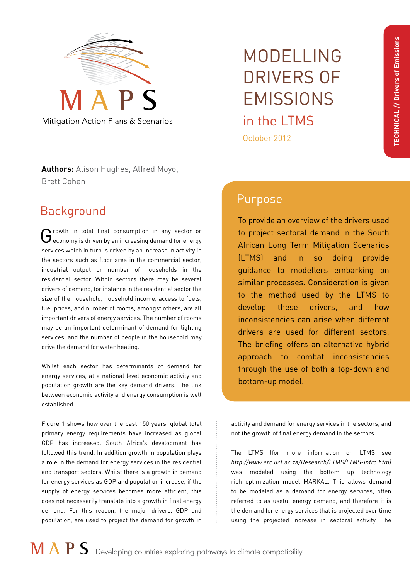

Mitigation Action Plans & Scenarios

#### **Authors:** Alison Hughes, Alfred Moyo, Brett Cohen

# Background

 $G$  rowth in total final consumption in any sector or economy is driven by an increasing demand for energy services which in turn is driven by an increase in activity in the sectors such as floor area in the commercial sector, industrial output or number of households in the residential sector. Within sectors there may be several drivers of demand, for instance in the residential sector the size of the household, household income, access to fuels, fuel prices, and number of rooms, amongst others, are all important drivers of energy services. The number of rooms may be an important determinant of demand for lighting services, and the number of people in the household may drive the demand for water heating.

Whilst each sector has determinants of demand for energy services, at a national level economic activity and population growth are the key demand drivers. The link between economic activity and energy consumption is well established.

Figure 1 shows how over the past 150 years, global total primary energy requirements have increased as global GDP has increased. South Africa's development has followed this trend. In addition growth in population plays a role in the demand for energy services in the residential and transport sectors. Whilst there is a growth in demand for energy services as GDP and population increase, if the supply of energy services becomes more efficient, this does not necessarily translate into a growth in final energy demand. For this reason, the major drivers, GDP and population, are used to project the demand for growth in

# MODELLING DRIVERS OF **FMISSIONS** in the LTMS October 2012

# Purpose

To provide an overview of the drivers used to project sectoral demand in the South African Long Term Mitigation Scenarios (LTMS) and in so doing provide guidance to modellers embarking on similar processes. Consideration is given to the method used by the LTMS to develop these drivers, and how inconsistencies can arise when different drivers are used for different sectors. The briefing offers an alternative hybrid approach to combat inconsistencies through the use of both a top-down and bottom-up model.

activity and demand for energy services in the sectors, and not the growth of final energy demand in the sectors.

The LTMS (for more information on LTMS see *http://www.erc.uct.ac.za/Research/LTMS/LTMS-intro.htm)*  was modeled using the bottom up technology rich optimization model MARKAL. This allows demand to be modeled as a demand for energy services, often referred to as useful energy demand, and therefore it is the demand for energy services that is projected over time using the projected increase in sectoral activity. The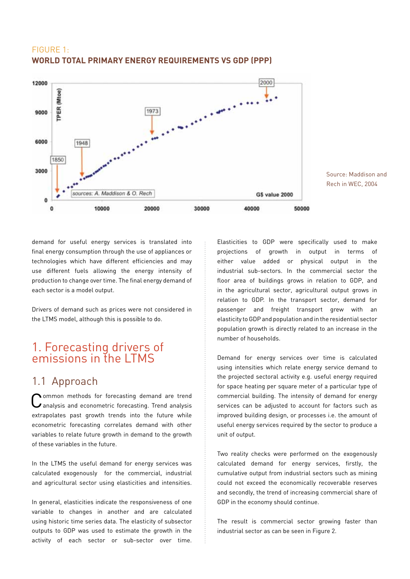#### FIGURE 1: **WORLD TOTAL PRIMARY ENERGY REQUIREMENTS VS GDP (PPP)**



Source: Maddison and Rech in WEC, 2004

demand for useful energy services is translated into final energy consumption through the use of appliances or technologies which have different efficiencies and may use different fuels allowing the energy intensity of production to change over time. The final energy demand of each sector is a model output.

Drivers of demand such as prices were not considered in the LTMS model, although this is possible to do.

#### 1. Forecasting drivers of emissions in the LTMS

#### 1.1 Approach

Common methods for forecasting demand are trend analysis and econometric forecasting. Trend analysis extrapolates past growth trends into the future while econometric forecasting correlates demand with other variables to relate future growth in demand to the growth of these variables in the future.

In the LTMS the useful demand for energy services was calculated exogenously for the commercial, industrial and agricultural sector using elasticities and intensities.

In general, elasticities indicate the responsiveness of one variable to changes in another and are calculated using historic time series data. The elasticity of subsector outputs to GDP was used to estimate the growth in the activity of each sector or sub-sector over time. Elasticities to GDP were specifically used to make projections of growth in output in terms of either value added or physical output in the industrial sub-sectors. In the commercial sector the floor area of buildings grows in relation to GDP, and in the agricultural sector, agricultural output grows in relation to GDP. In the transport sector, demand for passenger and freight transport grew with an elasticity to GDP and population and in the residential sector population growth is directly related to an increase in the number of households.

Demand for energy services over time is calculated using intensities which relate energy service demand to the projected sectoral activity e.g. useful energy required for space heating per square meter of a particular type of commercial building. The intensity of demand for energy services can be adjusted to account for factors such as improved building design, or processes i.e. the amount of useful energy services required by the sector to produce a unit of output.

Two reality checks were performed on the exogenously calculated demand for energy services, firstly, the cumulative output from industrial sectors such as mining could not exceed the economically recoverable reserves and secondly, the trend of increasing commercial share of GDP in the economy should continue.

The result is commercial sector growing faster than industrial sector as can be seen in Figure 2.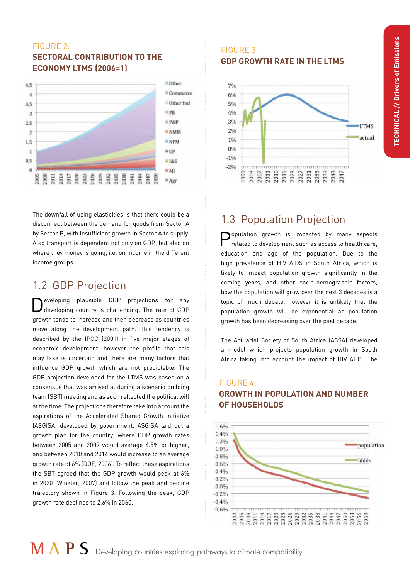#### FIGURE 2: **SECTORAL CONTRIBUTION TO THE ECONOMY LTMS (2006=1)**



The downfall of using elasticities is that there could be a disconnect between the demand for goods from Sector A by Sector B, with insufficient growth in Sector A to supply. Also transport is dependent not only on GDP, but also on where they money is going, i.e. on income in the different income groups.

#### 1.2 GDP Projection

Developing plausible GDP projections for any developing country is challenging. The rate of GDP growth tends to increase and then decrease as countries move along the development path. This tendency is described by the IPCC (2001) in five major stages of economic development, however the profile that this may take is uncertain and there are many factors that influence GDP growth which are not predictable. The GDP projection developed for the LTMS was based on a consensus that was arrived at during a scenario building team (SBT) meeting and as such reflected the political will at the time. The projections therefore take into account the aspirations of the Accelerated Shared Growth Initiative (ASGISA) developed by government. ASGISA laid out a growth plan for the country, where GDP growth rates between 2005 and 2009 would average 4.5% or higher, and between 2010 and 2014 would increase to an average growth rate of 6% (DOE, 2006). To reflect these aspirations the SBT agreed that the GDP growth would peak at 6% in 2020 (Winkler, 2007) and follow the peak and decline trajectory shown in Figure 3. Following the peak, GDP growth rate declines to 2.6% in 2060.

#### FIGURE 3: **GDP GROWTH RATE IN THE LTMS**



### 1.3 Population Projection

opulation growth is impacted by many aspects related to development such as access to health care, education and age of the population. Due to the high prevalence of HIV AIDS in South Africa, which is likely to impact population growth significantly in the coming years, and other socio-demographic factors, how the population will grow over the next 3 decades is a topic of much debate, however it is unlikely that the population growth will be exponential as population growth has been decreasing over the past decade.

The Actuarial Society of South Africa (ASSA) developed a model which projects population growth in South Africa taking into account the impact of HIV AIDS. The

FIGURE 4:

# **OF HOUSEHOLDS**  1,6%

**GROWTH IN POPULATION AND NUMBER**